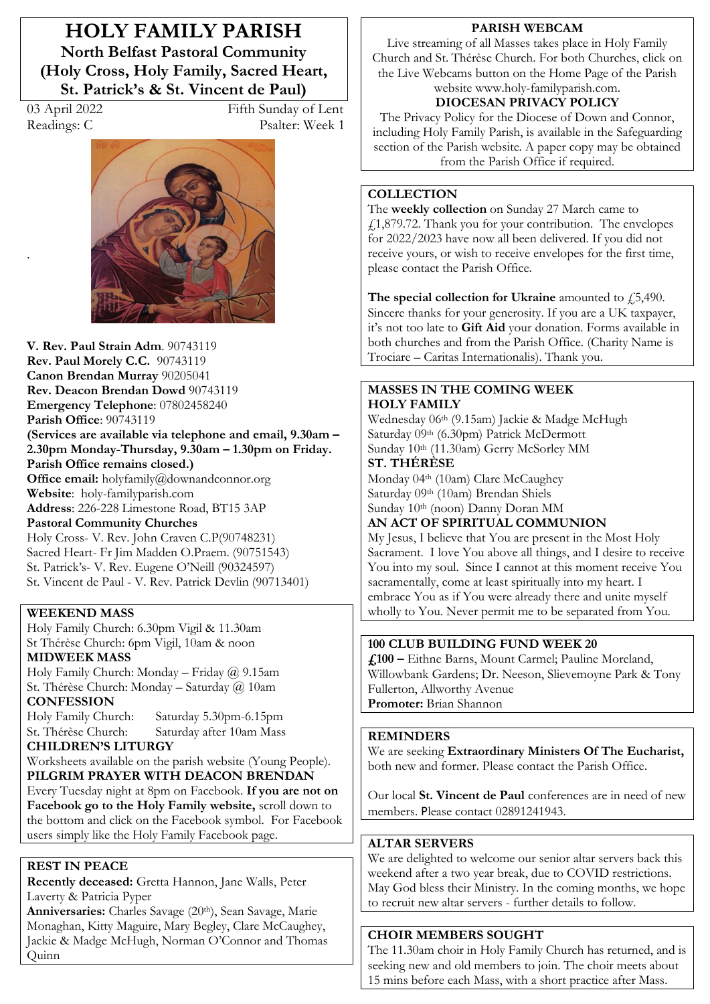**HOLY FAMILY PARISH North Belfast Pastoral Community (Holy Cross, Holy Family, Sacred Heart, St. Patrick's & St. Vincent de Paul)** 

.

03 April 2022 Fifth Sunday of Lent Readings: C Psalter: Week 1



**V. Rev. Paul Strain Adm**. 90743119 **Rev. Paul Morely C.C.** 90743119 **Canon Brendan Murray** 90205041 **Rev. Deacon Brendan Dowd** 90743119 **Emergency Telephone**: 07802458240 **Parish Office**: 90743119 (Services are available via telephone and email, 9.30am -2.30pm Monday-Thursday, 9.30am – 1.30pm on Friday. **Parish Office remains closed.) Office email:** holyfamily@downandconnor.org **Website**: holy-familyparish.com **Address**: 226-228 Limestone Road, BT15 3AP **Pastoral Community Churches** Holy Cross- V. Rev. John Craven C.P(90748231) Sacred Heart- Fr Jim Madden O.Praem. (90751543) St. Patrick's- V. Rev. Eugene O'Neill (90324597) St. Vincent de Paul - V. Rev. Patrick Devlin (90713401)

## **WEEKEND MASS**

Holy Family Church: 6.30pm Vigil & 11.30am St Thérèse Church: 6pm Vigil, 10am & noon **MIDWEEK MASS**

Holy Family Church: Monday - Friday  $\omega$  9.15am St. Thérèse Church: Monday - Saturday @ 10am **CONFESSION**

Holy Family Church: Saturday 5.30pm-6.15pm St. Thérèse Church: Saturday after 10am Mass

## **CHILDREN·S LITURGY**

Worksheets available on the parish website (Young People). **PILGRIM PRAYER WITH DEACON BRENDAN** Every Tuesday night at 8pm on Facebook. **If you are not on Facebook go to the Holy Family website,** scroll down to the bottom and click on the Facebook symbol. For Facebook users simply like the Holy Family Facebook page.

## **REST IN PEACE**

**Recently deceased:** Gretta Hannon, Jane Walls, Peter Laverty & Patricia Pyper

Anniversaries: Charles Savage (20th), Sean Savage, Marie Monaghan, Kitty Maguire, Mary Begley, Clare McCaughey, Jackie & Madge McHugh, Norman O'Connor and Thomas Quinn

#### **PARISH WEBCAM**

Live streaming of all Masses takes place in Holy Family Church and St. Thérèse Church. For both Churches, click on the Live Webcams button on the Home Page of the Parish website www.holy-familyparish.com.

# **DIOCESAN PRIVACY POLICY**

The Privacy Policy for the Diocese of Down and Connor, including Holy Family Parish, is available in the Safeguarding section of the Parish website. A paper copy may be obtained from the Parish Office if required.

## **COLLECTION**

The **weekly collection** on Sunday 27 March came to  $f$ 1,879.72. Thank you for your contribution. The envelopes for 2022/2023 have now all been delivered. If you did not receive yours, or wish to receive envelopes for the first time, please contact the Parish Office.

The special collection for Ukraine amounted to  $f$ , 5,490. Sincere thanks for your generosity. If you are a UK taxpayer, it's not too late to **Gift Aid** your donation. Forms available in both churches and from the Parish Office. (Charity Name is Trociare - Caritas Internationalis). Thank you.

### **MASSES IN THE COMING WEEK HOLY FAMILY**

Wednesday 06th (9.15am) Jackie & Madge McHugh Saturday 09th (6.30pm) Patrick McDermott Sunday 10th (11.30am) Gerry McSorley MM **ST. THÉRÈSE** 

Monday 04<sup>th</sup> (10am) Clare McCaughey Saturday 09th (10am) Brendan Shiels Sunday 10th (noon) Danny Doran MM

**AN ACT OF SPIRITUAL COMMUNION** 

My Jesus, I believe that You are present in the Most Holy Sacrament. I love You above all things, and I desire to receive You into my soul. Since I cannot at this moment receive You sacramentally, come at least spiritually into my heart. I embrace You as if You were already there and unite myself wholly to You. Never permit me to be separated from You.

## **100 CLUB BUILDING FUND WEEK 20**

**£100 ²** Eithne Barns, Mount Carmel; Pauline Moreland, Willowbank Gardens; Dr. Neeson, Slievemoyne Park & Tony Fullerton, Allworthy Avenue **Promoter:** Brian Shannon

## **REMINDERS**

We are seeking **Extraordinary Ministers Of The Eucharist,** both new and former. Please contact the Parish Office.

Our local **St. Vincent de Paul** conferences are in need of new members. Please contact 02891241943.

#### **ALTAR SERVERS**

We are delighted to welcome our senior altar servers back this weekend after a two year break, due to COVID restrictions. May God bless their Ministry. In the coming months, we hope to recruit new altar servers - further details to follow.

# **CHOIR MEMBERS SOUGHT**

The 11.30am choir in Holy Family Church has returned, and is seeking new and old members to join. The choir meets about 15 mins before each Mass, with a short practice after Mass.